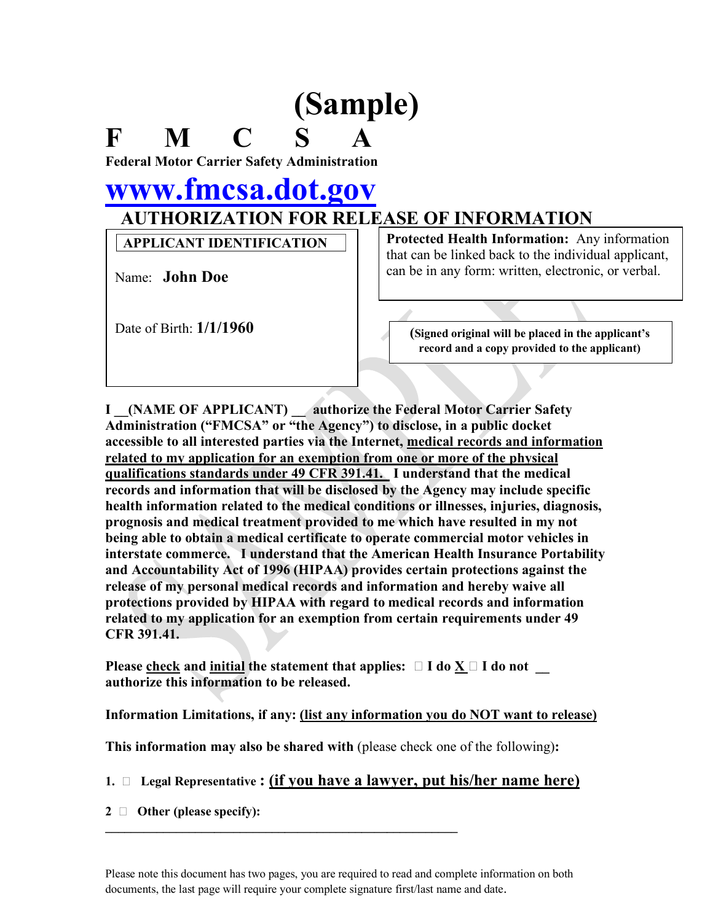## **(Sample)**

**F M C S A Federal Motor Carrier Safety Administration**

## **www.fmcsa.dot.gov AUTHORIZATION FOR RELEASE OF INFORMATION**

**APPLICANT IDENTIFICATION**

Name: **John Doe**

**Protected Health Information:** Any information that can be linked back to the individual applicant, can be in any form: written, electronic, or verbal.

Date of Birth:  $1/1/1960$  (Signed original will be placed in the applicant's **record and a copy provided to the applicant)**

**I \_\_(NAME OF APPLICANT) \_\_ authorize the Federal Motor Carrier Safety Administration ("FMCSA" or "the Agency") to disclose, in a public docket accessible to all interested parties via the Internet, medical records and information related to my application for an exemption from one or more of the physical qualifications standards under 49 CFR 391.41. I understand that the medical records and information that will be disclosed by the Agency may include specific health information related to the medical conditions or illnesses, injuries, diagnosis, prognosis and medical treatment provided to me which have resulted in my not being able to obtain a medical certificate to operate commercial motor vehicles in interstate commerce. I understand that the American Health Insurance Portability and Accountability Act of 1996 (HIPAA) provides certain protections against the release of my personal medical records and information and hereby waive all protections provided by HIPAA with regard to medical records and information related to my application for an exemption from certain requirements under 49 CFR 391.41.**

**Please check and initial the statement that applies:**  $\Box$  **<b>I** do  $\underline{X}$   $\Box$  **I** do not **authorize this information to be released.**

**Information Limitations, if any: (list any information you do NOT want to release)**

**This information may also be shared with** (please check one of the following)**:**

**\_\_\_\_\_\_\_\_\_\_\_\_\_\_\_\_\_\_\_\_\_\_\_\_\_\_\_\_\_\_\_\_\_\_\_\_\_\_\_\_\_\_\_\_\_\_\_\_\_\_\_\_\_\_\_**

**1. Legal Representative : (if you have a lawyer, put his/her name here)**

**2 Other (please specify):**

Please note this document has two pages, you are required to read and complete information on both documents, the last page will require your complete signature first/last name and date.